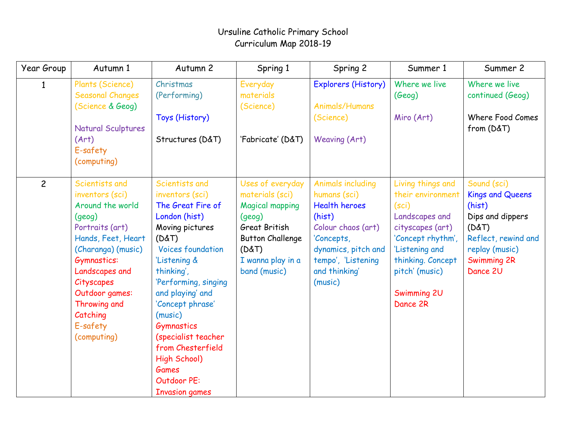## Ursuline Catholic Primary School Curriculum Map 2018-19

| Year Group     | Autumn 1                                                                                                                                                                                                                                               | Autumn 2                                                                                                                                                                                                                                                                                                                                                                   | Spring 1                                                                                                                                                          | Spring 2                                                                                                                                                                                | Summer 1                                                                                                                                                                                       | Summer 2                                                                                                                                          |
|----------------|--------------------------------------------------------------------------------------------------------------------------------------------------------------------------------------------------------------------------------------------------------|----------------------------------------------------------------------------------------------------------------------------------------------------------------------------------------------------------------------------------------------------------------------------------------------------------------------------------------------------------------------------|-------------------------------------------------------------------------------------------------------------------------------------------------------------------|-----------------------------------------------------------------------------------------------------------------------------------------------------------------------------------------|------------------------------------------------------------------------------------------------------------------------------------------------------------------------------------------------|---------------------------------------------------------------------------------------------------------------------------------------------------|
|                | Plants (Science)<br><b>Seasonal Changes</b><br>(Science & Geog)<br><b>Natural Sculptures</b><br>(Art)<br>E-safety<br>(computing)                                                                                                                       | Christmas<br>(Performing)<br>Toys (History)<br>Structures (D&T)                                                                                                                                                                                                                                                                                                            | Everyday<br>materials<br>(Science)<br>'Fabricate' (D&T)                                                                                                           | Explorers (History)<br>Animals/Humans<br>(Science)<br><b>Weaving (Art)</b>                                                                                                              | Where we live<br>(Geog)<br>Miro (Art)                                                                                                                                                          | Where we live<br>continued (Geog)<br>Where Food Comes<br>from (D&T)                                                                               |
| $\overline{c}$ | Scientists and<br>inventors (sci)<br>Around the world<br>(qe0q)<br>Portraits (art)<br>Hands, Feet, Heart<br>(Charanga) (music)<br>Gymnastics:<br>Landscapes and<br>Cityscapes<br>Outdoor games:<br>Throwing and<br>Catching<br>E-safety<br>(computing) | Scientists and<br>inventors (sci)<br>The Great Fire of<br>London (hist)<br>Moving pictures<br>(D&T)<br><b>Voices foundation</b><br>'Listening &<br>thinking',<br>'Performing, singing<br>and playing' and<br>'Concept phrase'<br>(music)<br>Gymnastics<br>(specialist teacher<br>from Chesterfield<br>High School)<br><b>Games</b><br>Outdoor PE:<br><b>Invasion games</b> | Uses of everyday<br>materials (sci)<br><b>Magical mapping</b><br>(geog)<br>Great British<br><b>Button Challenge</b><br>(D&T)<br>I wanna play in a<br>band (music) | <b>Animals including</b><br>humans (sci)<br><b>Health heroes</b><br>(hist)<br>Colour chaos (art)<br>'Concepts,<br>dynamics, pitch and<br>tempo', 'Listening<br>and thinking'<br>(music) | Living things and<br>their environment<br>(sci)<br>Landscapes and<br>cityscapes (art)<br>'Concept rhythm',<br>'Listening and<br>thinking. Concept<br>pitch' (music)<br>Swimming 2U<br>Dance 2R | Sound (sci)<br><b>Kings and Queens</b><br>(hist)<br>Dips and dippers<br>(D&T)<br>Reflect, rewind and<br>replay (music)<br>Swimming 2R<br>Dance 2U |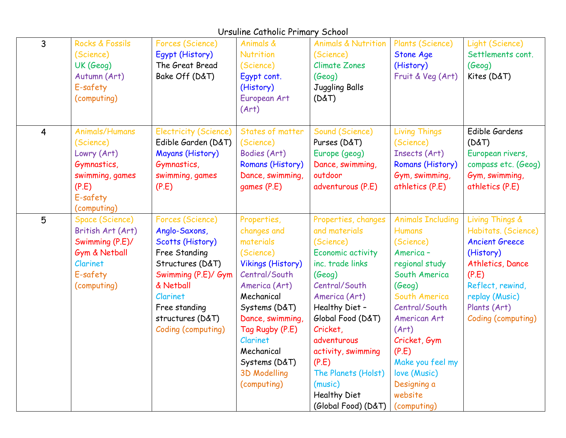## Ursuline Catholic Primary School

| $\overline{3}$ | Rocks & Fossils<br>(Science)<br>UK (Geog)<br>Autumn (Art)<br>E-safety<br>(computing)                                    | Forces (Science)<br>Egypt (History)<br>The Great Bread<br>Bake Off (D&T)                                                                                                                              | Animals &<br>Nutrition<br>(Science)<br>Egypt cont.<br>(History)<br>European Art<br>(Art)                                                                                                                                                                                  | <b>Animals &amp; Nutrition</b><br>(Science)<br><b>Climate Zones</b><br>(Geog)<br>Juggling Balls<br>(D&T)                                                                                                                                                                                                                | Plants (Science)<br><b>Stone Age</b><br>(History)<br>Fruit & Veg (Art)                                                                                                                                                                                                           | Light (Science)<br>Settlements cont.<br>(Geog)<br>Kites (D&T)                                                                                                                         |
|----------------|-------------------------------------------------------------------------------------------------------------------------|-------------------------------------------------------------------------------------------------------------------------------------------------------------------------------------------------------|---------------------------------------------------------------------------------------------------------------------------------------------------------------------------------------------------------------------------------------------------------------------------|-------------------------------------------------------------------------------------------------------------------------------------------------------------------------------------------------------------------------------------------------------------------------------------------------------------------------|----------------------------------------------------------------------------------------------------------------------------------------------------------------------------------------------------------------------------------------------------------------------------------|---------------------------------------------------------------------------------------------------------------------------------------------------------------------------------------|
| $\overline{4}$ | <b>Animals/Humans</b><br>(Science)<br>Lowry (Art)<br>Gymnastics,<br>swimming, games<br>(P.E)<br>E-safety<br>(computing) | <b>Electricity (Science)</b><br>Edible Garden (D&T)<br><b>Mayans (History)</b><br>Gymnastics,<br>swimming, games<br>(P.E)                                                                             | States of matter<br>(Science)<br>Bodies (Art)<br>Romans (History)<br>Dance, swimming,<br>games (P.E)                                                                                                                                                                      | Sound (Science)<br>Purses (D&T)<br>Europe (geog)<br>Dance, swimming,<br>outdoor<br>adventurous (P.E)                                                                                                                                                                                                                    | <b>Living Things</b><br>(Science)<br>Insects (Art)<br>Romans (History)<br>Gym, swimming,<br>athletics (P.E)                                                                                                                                                                      | Edible Gardens<br>(D&T)<br>European rivers,<br>compass etc. (Geog)<br>Gym, swimming,<br>athletics (P.E)                                                                               |
| 5              | Space (Science)<br>British Art (Art)<br>Swimming (P.E)/<br>Gym & Netball<br>Clarinet<br>E-safety<br>(computing)         | Forces (Science)<br>Anglo-Saxons,<br>Scotts (History)<br>Free Standing<br>Structures (D&T)<br>Swimming (P.E)/ Gym<br>& Netball<br>Clarinet<br>Free standing<br>structures (D&T)<br>Coding (computing) | Properties,<br>changes and<br>materials<br>(Science)<br><b>Vikings (History)</b><br>Central/South<br>America (Art)<br>Mechanical<br>Systems (D&T)<br>Dance, swimming,<br>Tag Rugby (P.E)<br>Clarinet<br>Mechanical<br>Systems (D&T)<br><b>3D Modelling</b><br>(computing) | Properties, changes<br>and materials<br>(Science)<br>Economic activity<br>inc. trade links<br>(Geog)<br>Central/South<br>America (Art)<br>Healthy Diet -<br>Global Food (D&T)<br>Cricket,<br>adventurous<br>activity, swimming<br>(P.E)<br>The Planets (Holst)<br>(music)<br><b>Healthy Diet</b><br>(Global Food) (D&T) | <b>Animals Including</b><br><b>Humans</b><br>(Science)<br>America-<br>regional study<br>South America<br>(Geog)<br>South America<br>Central/South<br>American Art<br>(Art)<br>Cricket, Gym<br>(P.E)<br>Make you feel my<br>love (Music)<br>Designing a<br>website<br>(computing) | Living Things &<br>Habitats. (Science)<br><b>Ancient Greece</b><br>(History)<br>Athletics, Dance<br>(P.E)<br>Reflect, rewind,<br>replay (Music)<br>Plants (Art)<br>Coding (computing) |